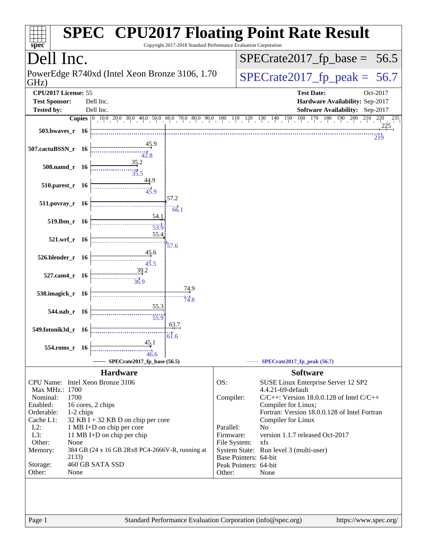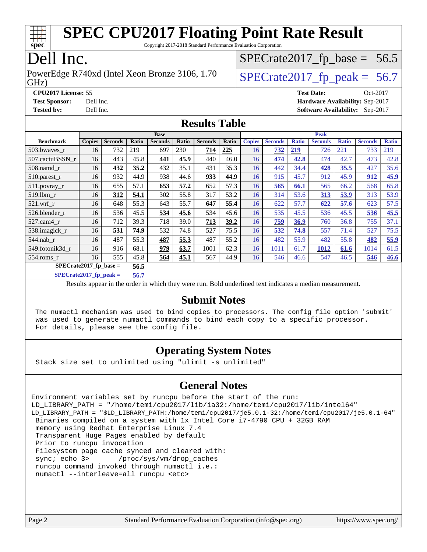

Copyright 2017-2018 Standard Performance Evaluation Corporation

## Dell Inc.

GHz) PowerEdge R740xd (Intel Xeon Bronze 3106, 1.70  $\big|$  [SPECrate2017\\_fp\\_peak =](http://www.spec.org/auto/cpu2017/Docs/result-fields.html#SPECrate2017fppeak) 56.7

 $SPECrate2017_fp\_base = 56.5$ 

**[CPU2017 License:](http://www.spec.org/auto/cpu2017/Docs/result-fields.html#CPU2017License)** 55 **[Test Date:](http://www.spec.org/auto/cpu2017/Docs/result-fields.html#TestDate)** Oct-2017 **[Test Sponsor:](http://www.spec.org/auto/cpu2017/Docs/result-fields.html#TestSponsor)** Dell Inc. **[Hardware Availability:](http://www.spec.org/auto/cpu2017/Docs/result-fields.html#HardwareAvailability)** Sep-2017 **[Tested by:](http://www.spec.org/auto/cpu2017/Docs/result-fields.html#Testedby)** Dell Inc. **[Software Availability:](http://www.spec.org/auto/cpu2017/Docs/result-fields.html#SoftwareAvailability)** Sep-2017

### **[Results Table](http://www.spec.org/auto/cpu2017/Docs/result-fields.html#ResultsTable)**

|                          |               |                |       | <b>Base</b>    |       |                |       |               |                |              | <b>Peak</b>    |              |                |              |
|--------------------------|---------------|----------------|-------|----------------|-------|----------------|-------|---------------|----------------|--------------|----------------|--------------|----------------|--------------|
| <b>Benchmark</b>         | <b>Copies</b> | <b>Seconds</b> | Ratio | <b>Seconds</b> | Ratio | <b>Seconds</b> | Ratio | <b>Copies</b> | <b>Seconds</b> | <b>Ratio</b> | <b>Seconds</b> | <b>Ratio</b> | <b>Seconds</b> | <b>Ratio</b> |
| 503.bwayes_r             | 16            | 732            | 219   | 697            | 230   | 714            | 225   | 16            | 732            | 219          | 726            | 221          | 733            | 219          |
| 507.cactuBSSN r          | 16            | 443            | 45.8  | 441            | 45.9  | 440            | 46.0  | 16            | 474            | 42.8         | 474            | 42.7         | 473            | 42.8         |
| $508$ .namd $r$          | 16            | 432            | 35.2  | 432            | 35.1  | 431            | 35.3  | 16            | 442            | 34.4         | 428            | 35.5         | 427            | 35.6         |
| $510.parest_r$           | 16            | 932            | 44.9  | 938            | 44.6  | 933            | 44.9  | 16            | 915            | 45.7         | 912            | 45.9         | 912            | 45.9         |
| 511.povray_r             | 16            | 655            | 57.1  | 653            | 57.2  | 652            | 57.3  | 16            | 565            | 66.1         | 565            | 66.2         | 568            | 65.8         |
| 519.1bm r                | 16            | 312            | 54.1  | 302            | 55.8  | 317            | 53.2  | 16            | 314            | 53.6         | 313            | 53.9         | 313            | 53.9         |
| $521$ .wrf r             | 16            | 648            | 55.3  | 643            | 55.7  | 647            | 55.4  | 16            | 622            | 57.7         | 622            | 57.6         | 623            | 57.5         |
| 526.blender r            | 16            | 536            | 45.5  | 534            | 45.6  | 534            | 45.6  | 16            | 535            | 45.5         | 536            | 45.5         | 536            | 45.5         |
| 527.cam4 r               | 16            | 712            | 39.3  | 718            | 39.0  | 713            | 39.2  | 16            | <u>759</u>     | 36.9         | 760            | 36.8         | 755            | 37.1         |
| 538.imagick_r            | 16            | 531            | 74.9  | 532            | 74.8  | 527            | 75.5  | 16            | 532            | 74.8         | 557            | 71.4         | 527            | 75.5         |
| 544.nab r                | 16            | 487            | 55.3  | 487            | 55.3  | 487            | 55.2  | 16            | 482            | 55.9         | 482            | 55.8         | 482            | 55.9         |
| 549.fotonik3d r          | 16            | 916            | 68.1  | 979            | 63.7  | 1001           | 62.3  | 16            | 1011           | 61.7         | 1012           | 61.6         | 1014           | 61.5         |
| $554$ .roms r            | 16            | 555            | 45.8  | 564            | 45.1  | 567            | 44.9  | 16            | 546            | 46.6         | 547            | 46.5         | 546            | <b>46.6</b>  |
| SPECrate2017 fp base $=$ |               |                | 56.5  |                |       |                |       |               |                |              |                |              |                |              |

**[SPECrate2017\\_fp\\_peak =](http://www.spec.org/auto/cpu2017/Docs/result-fields.html#SPECrate2017fppeak) 56.7**

Results appear in the [order in which they were run.](http://www.spec.org/auto/cpu2017/Docs/result-fields.html#RunOrder) Bold underlined text [indicates a median measurement.](http://www.spec.org/auto/cpu2017/Docs/result-fields.html#Median)

### **[Submit Notes](http://www.spec.org/auto/cpu2017/Docs/result-fields.html#SubmitNotes)**

 The numactl mechanism was used to bind copies to processors. The config file option 'submit' was used to generate numactl commands to bind each copy to a specific processor. For details, please see the config file.

### **[Operating System Notes](http://www.spec.org/auto/cpu2017/Docs/result-fields.html#OperatingSystemNotes)**

Stack size set to unlimited using "ulimit -s unlimited"

### **[General Notes](http://www.spec.org/auto/cpu2017/Docs/result-fields.html#GeneralNotes)**

Environment variables set by runcpu before the start of the run: LD\_LIBRARY\_PATH = "/home/temi/cpu2017/lib/ia32:/home/temi/cpu2017/lib/intel64" LD\_LIBRARY\_PATH = "\$LD\_LIBRARY\_PATH:/home/temi/cpu2017/je5.0.1-32:/home/temi/cpu2017/je5.0.1-64" Binaries compiled on a system with 1x Intel Core i7-4790 CPU + 32GB RAM memory using Redhat Enterprise Linux 7.4 Transparent Huge Pages enabled by default Prior to runcpu invocation Filesystem page cache synced and cleared with: sync; echo 3> /proc/sys/vm/drop\_caches runcpu command invoked through numactl i.e.: numactl --interleave=all runcpu <etc>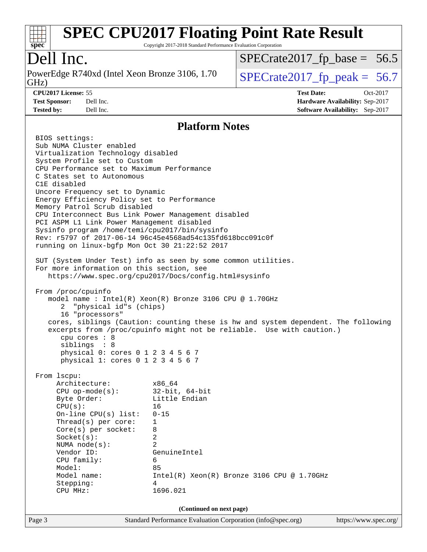

Copyright 2017-2018 Standard Performance Evaluation Corporation

## Dell Inc.

PowerEdge R740xd (Intel Xeon Bronze 3106, 1.70<br>GHz)

 $SPECTate 2017_fp\_peak = 56.7$  $SPECrate2017_fp\_base = 56.5$ 

**[CPU2017 License:](http://www.spec.org/auto/cpu2017/Docs/result-fields.html#CPU2017License)** 55 **[Test Date:](http://www.spec.org/auto/cpu2017/Docs/result-fields.html#TestDate)** Oct-2017 **[Test Sponsor:](http://www.spec.org/auto/cpu2017/Docs/result-fields.html#TestSponsor)** Dell Inc. **[Hardware Availability:](http://www.spec.org/auto/cpu2017/Docs/result-fields.html#HardwareAvailability)** Sep-2017 **[Tested by:](http://www.spec.org/auto/cpu2017/Docs/result-fields.html#Testedby)** Dell Inc. **[Software Availability:](http://www.spec.org/auto/cpu2017/Docs/result-fields.html#SoftwareAvailability)** Sep-2017

### **[Platform Notes](http://www.spec.org/auto/cpu2017/Docs/result-fields.html#PlatformNotes)**

|                                                                                     | 1 REPORTED TYPICS                                                                  |                       |
|-------------------------------------------------------------------------------------|------------------------------------------------------------------------------------|-----------------------|
| BIOS settings:                                                                      |                                                                                    |                       |
| Sub NUMA Cluster enabled                                                            |                                                                                    |                       |
| Virtualization Technology disabled                                                  |                                                                                    |                       |
| System Profile set to Custom                                                        |                                                                                    |                       |
| CPU Performance set to Maximum Performance                                          |                                                                                    |                       |
| C States set to Autonomous                                                          |                                                                                    |                       |
| C1E disabled                                                                        |                                                                                    |                       |
| Uncore Frequency set to Dynamic                                                     |                                                                                    |                       |
| Energy Efficiency Policy set to Performance                                         |                                                                                    |                       |
| Memory Patrol Scrub disabled                                                        |                                                                                    |                       |
|                                                                                     | CPU Interconnect Bus Link Power Management disabled                                |                       |
| PCI ASPM L1 Link Power Management disabled                                          |                                                                                    |                       |
| Sysinfo program /home/temi/cpu2017/bin/sysinfo                                      |                                                                                    |                       |
|                                                                                     | Rev: r5797 of 2017-06-14 96c45e4568ad54c135fd618bcc091c0f                          |                       |
| running on linux-bgfp Mon Oct 30 21:22:52 2017                                      |                                                                                    |                       |
|                                                                                     |                                                                                    |                       |
|                                                                                     | SUT (System Under Test) info as seen by some common utilities.                     |                       |
| For more information on this section, see                                           | https://www.spec.org/cpu2017/Docs/config.html#sysinfo                              |                       |
|                                                                                     |                                                                                    |                       |
| From /proc/cpuinfo                                                                  |                                                                                    |                       |
|                                                                                     | model name : Intel(R) Xeon(R) Bronze 3106 CPU @ 1.70GHz                            |                       |
| 2 "physical id"s (chips)                                                            |                                                                                    |                       |
| 16 "processors"                                                                     |                                                                                    |                       |
|                                                                                     | cores, siblings (Caution: counting these is hw and system dependent. The following |                       |
|                                                                                     | excerpts from /proc/cpuinfo might not be reliable. Use with caution.)              |                       |
| cpu cores : 8                                                                       |                                                                                    |                       |
| siblings : 8                                                                        |                                                                                    |                       |
| physical 0: cores 0 1 2 3 4 5 6 7                                                   |                                                                                    |                       |
| physical 1: cores 0 1 2 3 4 5 6 7                                                   |                                                                                    |                       |
|                                                                                     |                                                                                    |                       |
| From 1scpu:                                                                         |                                                                                    |                       |
|                                                                                     |                                                                                    |                       |
| Architecture: x86_64<br>CPU op-mode(s): 32-bit, 64-bit<br>Byte Order: Little Endian |                                                                                    |                       |
|                                                                                     |                                                                                    |                       |
| CPU(s):                                                                             | 16                                                                                 |                       |
| On-line CPU(s) list: $0-15$                                                         |                                                                                    |                       |
| Thread(s) per core:                                                                 | 1                                                                                  |                       |
| $Core(s)$ per socket:                                                               | 8<br>$\overline{2}$                                                                |                       |
| Socket(s):                                                                          |                                                                                    |                       |
| NUMA node(s):                                                                       | 2                                                                                  |                       |
| Vendor ID:                                                                          | GenuineIntel                                                                       |                       |
| CPU family:                                                                         | 6                                                                                  |                       |
| Model:                                                                              | 85                                                                                 |                       |
| Model name:                                                                         | $Intel(R) Xeon(R) Bronze 3106 CPU @ 1.70GHz$                                       |                       |
| Stepping:                                                                           | 4<br>1696.021                                                                      |                       |
| CPU MHz:                                                                            |                                                                                    |                       |
|                                                                                     | (Continued on next page)                                                           |                       |
| Page 3                                                                              | Standard Performance Evaluation Corporation (info@spec.org)                        | https://www.spec.org/ |
|                                                                                     |                                                                                    |                       |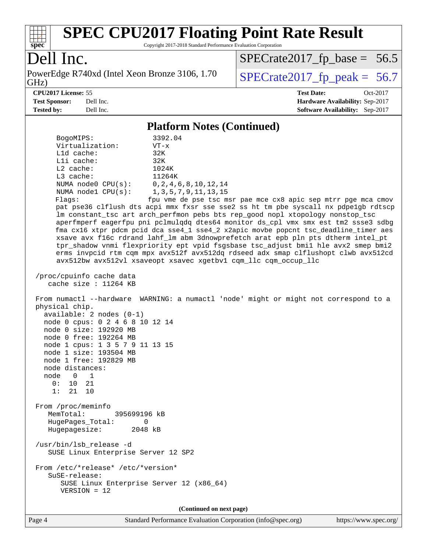

Copyright 2017-2018 Standard Performance Evaluation Corporation

### Dell Inc.

PowerEdge R740xd (Intel Xeon Bronze 3106, 1.70<br>GHz)

 $SPECrate2017_fp\_peak = 56.7$  $SPECrate2017_fp\_base = 56.5$ 

**[CPU2017 License:](http://www.spec.org/auto/cpu2017/Docs/result-fields.html#CPU2017License)** 55 **[Test Date:](http://www.spec.org/auto/cpu2017/Docs/result-fields.html#TestDate)** Oct-2017 **[Test Sponsor:](http://www.spec.org/auto/cpu2017/Docs/result-fields.html#TestSponsor)** Dell Inc. **[Hardware Availability:](http://www.spec.org/auto/cpu2017/Docs/result-fields.html#HardwareAvailability)** Sep-2017 **[Tested by:](http://www.spec.org/auto/cpu2017/Docs/result-fields.html#Testedby)** Dell Inc. **[Software Availability:](http://www.spec.org/auto/cpu2017/Docs/result-fields.html#SoftwareAvailability)** Sep-2017

### **[Platform Notes \(Continued\)](http://www.spec.org/auto/cpu2017/Docs/result-fields.html#PlatformNotes)**

| BogoMIPS:<br>Virtualization:<br>L1d cache:<br>Lli cache:<br>$L2$ cache:<br>L3 cache:<br>NUMA $node0$ $CPU(s):$<br>NUMA $node1$ $CPU(s):$<br>Flags:                                                                                                                                                          | 3392.04<br>$VT - x$<br>32K<br>32K<br>1024K<br>11264K<br>0, 2, 4, 6, 8, 10, 12, 14<br>1, 3, 5, 7, 9, 11, 13, 15<br>fpu vme de pse tsc msr pae mce cx8 apic sep mtrr pge mca cmov<br>pat pse36 clflush dts acpi mmx fxsr sse sse2 ss ht tm pbe syscall nx pdpelgb rdtscp<br>lm constant_tsc art arch_perfmon pebs bts rep_good nopl xtopology nonstop_tsc<br>aperfmperf eagerfpu pni pclmulqdq dtes64 monitor ds_cpl vmx smx est tm2 ssse3 sdbg<br>fma cx16 xtpr pdcm pcid dca sse4_1 sse4_2 x2apic movbe popcnt tsc_deadline_timer aes<br>xsave avx f16c rdrand lahf_lm abm 3dnowprefetch arat epb pln pts dtherm intel_pt<br>tpr_shadow vnmi flexpriority ept vpid fsgsbase tsc_adjust bmil hle avx2 smep bmi2<br>erms invpcid rtm cqm mpx avx512f avx512dq rdseed adx smap clflushopt clwb avx512cd<br>avx512bw avx512vl xsaveopt xsavec xgetbvl cqm_llc cqm_occup_llc |
|-------------------------------------------------------------------------------------------------------------------------------------------------------------------------------------------------------------------------------------------------------------------------------------------------------------|-------------------------------------------------------------------------------------------------------------------------------------------------------------------------------------------------------------------------------------------------------------------------------------------------------------------------------------------------------------------------------------------------------------------------------------------------------------------------------------------------------------------------------------------------------------------------------------------------------------------------------------------------------------------------------------------------------------------------------------------------------------------------------------------------------------------------------------------------------------------------|
| /proc/cpuinfo cache data<br>cache size : 11264 KB                                                                                                                                                                                                                                                           |                                                                                                                                                                                                                                                                                                                                                                                                                                                                                                                                                                                                                                                                                                                                                                                                                                                                         |
| physical chip.<br>$available: 2 nodes (0-1)$<br>node 0 cpus: 0 2 4 6 8 10 12 14<br>node 0 size: 192920 MB<br>node 0 free: 192264 MB<br>node 1 cpus: 1 3 5 7 9 11 13 15<br>node 1 size: 193504 MB<br>node 1 free: 192829 MB<br>node distances:<br>node 0<br>$\overline{\phantom{1}}$<br>0: 10 21<br>1: 21 10 | From numactl --hardware WARNING: a numactl 'node' might or might not correspond to a                                                                                                                                                                                                                                                                                                                                                                                                                                                                                                                                                                                                                                                                                                                                                                                    |
| From /proc/meminfo<br>MemTotal:<br>395699196 kB<br>HugePages_Total:<br>0<br>Hugepagesize: 2048 kB                                                                                                                                                                                                           |                                                                                                                                                                                                                                                                                                                                                                                                                                                                                                                                                                                                                                                                                                                                                                                                                                                                         |
| /usr/bin/lsb_release -d<br>SUSE Linux Enterprise Server 12 SP2                                                                                                                                                                                                                                              |                                                                                                                                                                                                                                                                                                                                                                                                                                                                                                                                                                                                                                                                                                                                                                                                                                                                         |
| From /etc/*release* /etc/*version*<br>SuSE-release:<br>SUSE Linux Enterprise Server 12 (x86_64)<br>$VERSION = 12$                                                                                                                                                                                           |                                                                                                                                                                                                                                                                                                                                                                                                                                                                                                                                                                                                                                                                                                                                                                                                                                                                         |
|                                                                                                                                                                                                                                                                                                             | (Continued on next page)                                                                                                                                                                                                                                                                                                                                                                                                                                                                                                                                                                                                                                                                                                                                                                                                                                                |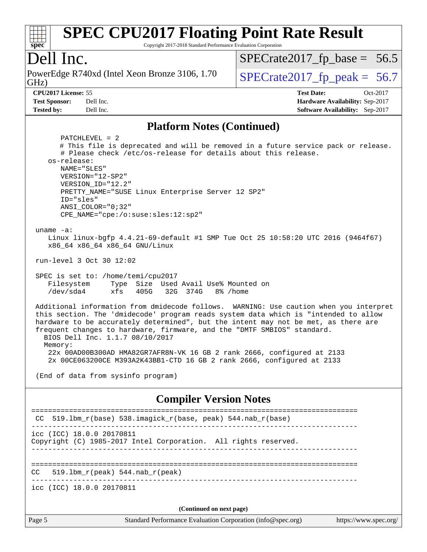

Copyright 2017-2018 Standard Performance Evaluation Corporation

### Dell Inc.

GHz) PowerEdge R740xd (Intel Xeon Bronze 3106, 1.70  $\big|$  [SPECrate2017\\_fp\\_peak =](http://www.spec.org/auto/cpu2017/Docs/result-fields.html#SPECrate2017fppeak) 56.7

 $SPECTate2017_fp\_base = 56.5$ 

**[Tested by:](http://www.spec.org/auto/cpu2017/Docs/result-fields.html#Testedby)** Dell Inc. **[Software Availability:](http://www.spec.org/auto/cpu2017/Docs/result-fields.html#SoftwareAvailability)** Sep-2017

**[CPU2017 License:](http://www.spec.org/auto/cpu2017/Docs/result-fields.html#CPU2017License)** 55 **[Test Date:](http://www.spec.org/auto/cpu2017/Docs/result-fields.html#TestDate)** Oct-2017 **[Test Sponsor:](http://www.spec.org/auto/cpu2017/Docs/result-fields.html#TestSponsor)** Dell Inc. **[Hardware Availability:](http://www.spec.org/auto/cpu2017/Docs/result-fields.html#HardwareAvailability)** Sep-2017

### **[Platform Notes \(Continued\)](http://www.spec.org/auto/cpu2017/Docs/result-fields.html#PlatformNotes)**

Page 5 Standard Performance Evaluation Corporation [\(info@spec.org\)](mailto:info@spec.org) <https://www.spec.org/> PATCHLEVEL = 2 # This file is deprecated and will be removed in a future service pack or release. # Please check /etc/os-release for details about this release. os-release: NAME="SLES" VERSION="12-SP2" VERSION\_ID="12.2" PRETTY\_NAME="SUSE Linux Enterprise Server 12 SP2" ID="sles" ANSI\_COLOR="0;32" CPE\_NAME="cpe:/o:suse:sles:12:sp2" uname -a: Linux linux-bgfp 4.4.21-69-default #1 SMP Tue Oct 25 10:58:20 UTC 2016 (9464f67) x86\_64 x86\_64 x86\_64 GNU/Linux run-level 3 Oct 30 12:02 SPEC is set to: /home/temi/cpu2017 Filesystem Type Size Used Avail Use% Mounted on /dev/sda4 xfs 405G 32G 374G 8% /home Additional information from dmidecode follows. WARNING: Use caution when you interpret this section. The 'dmidecode' program reads system data which is "intended to allow hardware to be accurately determined", but the intent may not be met, as there are frequent changes to hardware, firmware, and the "DMTF SMBIOS" standard. BIOS Dell Inc. 1.1.7 08/10/2017 Memory: 22x 00AD00B300AD HMA82GR7AFR8N-VK 16 GB 2 rank 2666, configured at 2133 2x 00CE063200CE M393A2K43BB1-CTD 16 GB 2 rank 2666, configured at 2133 (End of data from sysinfo program) **[Compiler Version Notes](http://www.spec.org/auto/cpu2017/Docs/result-fields.html#CompilerVersionNotes)** ============================================================================== CC 519.lbm\_r(base) 538.imagick\_r(base, peak) 544.nab\_r(base) ----------------------------------------------------------------------------- icc (ICC) 18.0.0 20170811 Copyright (C) 1985-2017 Intel Corporation. All rights reserved. ------------------------------------------------------------------------------ ==============================================================================  $CC = 519.1bm_r(peak) 544.nab_r(peak)$ ----------------------------------------------------------------------------- icc (ICC) 18.0.0 20170811 **(Continued on next page)**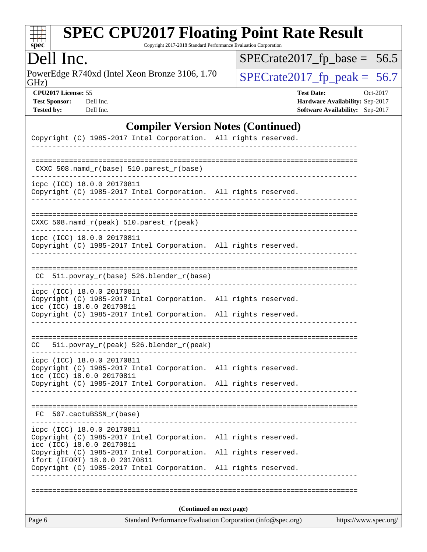

Copyright 2017-2018 Standard Performance Evaluation Corporation

## Dell Inc.

PowerEdge R740xd (Intel Xeon Bronze 3106, 1.70<br>GHz)

 $SPECTate 2017_fp\_peak = 56.7$  $SPECrate2017_fp\_base = 56.5$ 

**[CPU2017 License:](http://www.spec.org/auto/cpu2017/Docs/result-fields.html#CPU2017License)** 55 **[Test Date:](http://www.spec.org/auto/cpu2017/Docs/result-fields.html#TestDate)** Oct-2017 **[Test Sponsor:](http://www.spec.org/auto/cpu2017/Docs/result-fields.html#TestSponsor)** Dell Inc. **[Hardware Availability:](http://www.spec.org/auto/cpu2017/Docs/result-fields.html#HardwareAvailability)** Sep-2017 **[Tested by:](http://www.spec.org/auto/cpu2017/Docs/result-fields.html#Testedby)** Dell Inc. **[Software Availability:](http://www.spec.org/auto/cpu2017/Docs/result-fields.html#SoftwareAvailability)** Sep-2017

### **[Compiler Version Notes \(Continued\)](http://www.spec.org/auto/cpu2017/Docs/result-fields.html#CompilerVersionNotes)**

| Copyright (C) 1985-2017 Intel Corporation. All rights reserved.                                                                                                                                                                                                                                   |                       |
|---------------------------------------------------------------------------------------------------------------------------------------------------------------------------------------------------------------------------------------------------------------------------------------------------|-----------------------|
|                                                                                                                                                                                                                                                                                                   |                       |
| CXXC 508.namd_r(base) 510.parest_r(base)                                                                                                                                                                                                                                                          |                       |
| icpc (ICC) 18.0.0 20170811<br>Copyright (C) 1985-2017 Intel Corporation. All rights reserved.<br>_________________________________                                                                                                                                                                |                       |
| CXXC 508.namd_r(peak) 510.parest_r(peak)                                                                                                                                                                                                                                                          |                       |
| icpc (ICC) 18.0.0 20170811<br>Copyright (C) 1985-2017 Intel Corporation. All rights reserved.<br>__________________________                                                                                                                                                                       |                       |
| CC 511.povray_r(base) 526.blender_r(base)                                                                                                                                                                                                                                                         |                       |
| icpc (ICC) 18.0.0 20170811<br>Copyright (C) 1985-2017 Intel Corporation. All rights reserved.<br>icc (ICC) 18.0.0 20170811<br>Copyright (C) 1985-2017 Intel Corporation. All rights reserved.                                                                                                     |                       |
| CC 511.povray_r(peak) 526.blender_r(peak)                                                                                                                                                                                                                                                         |                       |
| icpc (ICC) 18.0.0 20170811<br>Copyright (C) 1985-2017 Intel Corporation. All rights reserved.<br>icc (ICC) 18.0.0 20170811<br>Copyright (C) 1985-2017 Intel Corporation. All rights reserved.                                                                                                     |                       |
| FC 507.cactuBSSN_r(base)                                                                                                                                                                                                                                                                          |                       |
| icpc (ICC) 18.0.0 20170811<br>Copyright (C) 1985-2017 Intel Corporation. All rights reserved.<br>icc (ICC) 18.0.0 20170811<br>Copyright (C) 1985-2017 Intel Corporation. All rights reserved.<br>ifort (IFORT) 18.0.0 20170811<br>Copyright (C) 1985-2017 Intel Corporation. All rights reserved. |                       |
| (Continued on next page)<br>Standard Performance Evaluation Corporation (info@spec.org)<br>Page 6                                                                                                                                                                                                 | https://www.spec.org/ |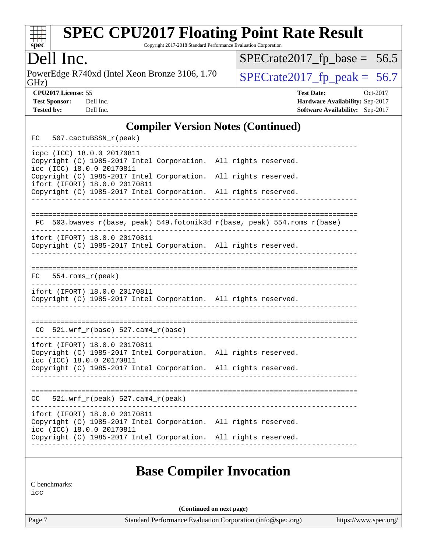

Copyright 2017-2018 Standard Performance Evaluation Corporation

## Dell Inc.

PowerEdge R740xd (Intel Xeon Bronze 3106, 1.70<br>GHz)

 $SPECTate 2017_fp\_peak = 56.7$  $SPECrate2017_fp\_base = 56.5$ 

**[CPU2017 License:](http://www.spec.org/auto/cpu2017/Docs/result-fields.html#CPU2017License)** 55 **[Test Date:](http://www.spec.org/auto/cpu2017/Docs/result-fields.html#TestDate)** Oct-2017 **[Test Sponsor:](http://www.spec.org/auto/cpu2017/Docs/result-fields.html#TestSponsor)** Dell Inc. **[Hardware Availability:](http://www.spec.org/auto/cpu2017/Docs/result-fields.html#HardwareAvailability)** Sep-2017 **[Tested by:](http://www.spec.org/auto/cpu2017/Docs/result-fields.html#Testedby)** Dell Inc. **[Software Availability:](http://www.spec.org/auto/cpu2017/Docs/result-fields.html#SoftwareAvailability)** Sep-2017

### **[Compiler Version Notes \(Continued\)](http://www.spec.org/auto/cpu2017/Docs/result-fields.html#CompilerVersionNotes)**

|    | icpc (ICC) 18.0.0 20170811                                 |                                                                       |  |
|----|------------------------------------------------------------|-----------------------------------------------------------------------|--|
|    | icc (ICC) 18.0.0 20170811                                  | Copyright (C) 1985-2017 Intel Corporation. All rights reserved.       |  |
|    | ifort (IFORT) 18.0.0 20170811                              | Copyright (C) 1985-2017 Intel Corporation. All rights reserved.       |  |
|    |                                                            | Copyright (C) 1985-2017 Intel Corporation. All rights reserved.       |  |
| FC |                                                            | 503.bwaves_r(base, peak) 549.fotonik3d_r(base, peak) 554.roms_r(base) |  |
|    |                                                            |                                                                       |  |
|    | ifort (IFORT) 18.0.0 20170811                              | Copyright (C) 1985-2017 Intel Corporation. All rights reserved.       |  |
| FC | $554.rows_r(peak)$                                         |                                                                       |  |
|    |                                                            |                                                                       |  |
|    | ifort (IFORT) 18.0.0 20170811                              | Copyright (C) 1985-2017 Intel Corporation. All rights reserved.       |  |
|    | $CC$ 521.wrf_r(base) 527.cam4_r(base)                      |                                                                       |  |
|    | ifort (IFORT) 18.0.0 20170811<br>icc (ICC) 18.0.0 20170811 | Copyright (C) 1985-2017 Intel Corporation. All rights reserved.       |  |
|    |                                                            | Copyright (C) 1985-2017 Intel Corporation. All rights reserved.       |  |
| CC | 521.wrf_r(peak) 527.cam4_r(peak)                           |                                                                       |  |
|    | ifort (IFORT) 18.0.0 20170811                              |                                                                       |  |
|    | icc (ICC) 18.0.0 20170811                                  | Copyright (C) 1985-2017 Intel Corporation. All rights reserved.       |  |
|    |                                                            | Copyright (C) 1985-2017 Intel Corporation. All rights reserved.       |  |

### **[Base Compiler Invocation](http://www.spec.org/auto/cpu2017/Docs/result-fields.html#BaseCompilerInvocation)**

[C benchmarks:](http://www.spec.org/auto/cpu2017/Docs/result-fields.html#Cbenchmarks)

[icc](http://www.spec.org/cpu2017/results/res2017q4/cpu2017-20171208-01403.flags.html#user_CCbase_intel_icc_18.0_66fc1ee009f7361af1fbd72ca7dcefbb700085f36577c54f309893dd4ec40d12360134090235512931783d35fd58c0460139e722d5067c5574d8eaf2b3e37e92)

**(Continued on next page)**

Page 7 Standard Performance Evaluation Corporation [\(info@spec.org\)](mailto:info@spec.org) <https://www.spec.org/>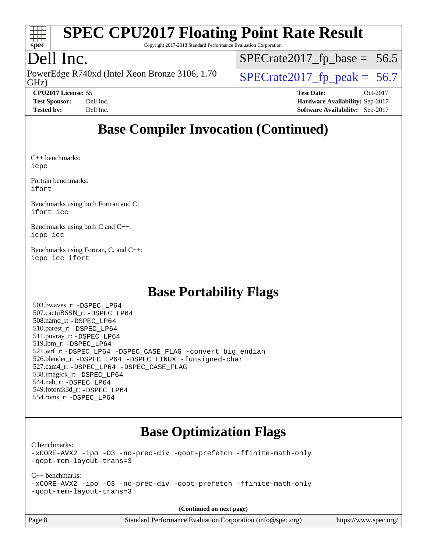

Copyright 2017-2018 Standard Performance Evaluation Corporation

## Dell Inc.

GHz) PowerEdge R740xd (Intel Xeon Bronze 3106, 1.70  $\big|$  [SPECrate2017\\_fp\\_peak =](http://www.spec.org/auto/cpu2017/Docs/result-fields.html#SPECrate2017fppeak) 56.7

 $SPECTate2017_fp\_base = 56.5$ 

**[CPU2017 License:](http://www.spec.org/auto/cpu2017/Docs/result-fields.html#CPU2017License)** 55 **[Test Date:](http://www.spec.org/auto/cpu2017/Docs/result-fields.html#TestDate)** Oct-2017 **[Test Sponsor:](http://www.spec.org/auto/cpu2017/Docs/result-fields.html#TestSponsor)** Dell Inc. **[Hardware Availability:](http://www.spec.org/auto/cpu2017/Docs/result-fields.html#HardwareAvailability)** Sep-2017 **[Tested by:](http://www.spec.org/auto/cpu2017/Docs/result-fields.html#Testedby)** Dell Inc. **[Software Availability:](http://www.spec.org/auto/cpu2017/Docs/result-fields.html#SoftwareAvailability)** Sep-2017

## **[Base Compiler Invocation \(Continued\)](http://www.spec.org/auto/cpu2017/Docs/result-fields.html#BaseCompilerInvocation)**

[C++ benchmarks](http://www.spec.org/auto/cpu2017/Docs/result-fields.html#CXXbenchmarks): [icpc](http://www.spec.org/cpu2017/results/res2017q4/cpu2017-20171208-01403.flags.html#user_CXXbase_intel_icpc_18.0_c510b6838c7f56d33e37e94d029a35b4a7bccf4766a728ee175e80a419847e808290a9b78be685c44ab727ea267ec2f070ec5dc83b407c0218cded6866a35d07)

[Fortran benchmarks](http://www.spec.org/auto/cpu2017/Docs/result-fields.html#Fortranbenchmarks): [ifort](http://www.spec.org/cpu2017/results/res2017q4/cpu2017-20171208-01403.flags.html#user_FCbase_intel_ifort_18.0_8111460550e3ca792625aed983ce982f94888b8b503583aa7ba2b8303487b4d8a21a13e7191a45c5fd58ff318f48f9492884d4413fa793fd88dd292cad7027ca)

[Benchmarks using both Fortran and C:](http://www.spec.org/auto/cpu2017/Docs/result-fields.html#BenchmarksusingbothFortranandC) [ifort](http://www.spec.org/cpu2017/results/res2017q4/cpu2017-20171208-01403.flags.html#user_CC_FCbase_intel_ifort_18.0_8111460550e3ca792625aed983ce982f94888b8b503583aa7ba2b8303487b4d8a21a13e7191a45c5fd58ff318f48f9492884d4413fa793fd88dd292cad7027ca) [icc](http://www.spec.org/cpu2017/results/res2017q4/cpu2017-20171208-01403.flags.html#user_CC_FCbase_intel_icc_18.0_66fc1ee009f7361af1fbd72ca7dcefbb700085f36577c54f309893dd4ec40d12360134090235512931783d35fd58c0460139e722d5067c5574d8eaf2b3e37e92)

[Benchmarks using both C and C++](http://www.spec.org/auto/cpu2017/Docs/result-fields.html#BenchmarksusingbothCandCXX): [icpc](http://www.spec.org/cpu2017/results/res2017q4/cpu2017-20171208-01403.flags.html#user_CC_CXXbase_intel_icpc_18.0_c510b6838c7f56d33e37e94d029a35b4a7bccf4766a728ee175e80a419847e808290a9b78be685c44ab727ea267ec2f070ec5dc83b407c0218cded6866a35d07) [icc](http://www.spec.org/cpu2017/results/res2017q4/cpu2017-20171208-01403.flags.html#user_CC_CXXbase_intel_icc_18.0_66fc1ee009f7361af1fbd72ca7dcefbb700085f36577c54f309893dd4ec40d12360134090235512931783d35fd58c0460139e722d5067c5574d8eaf2b3e37e92)

[Benchmarks using Fortran, C, and C++:](http://www.spec.org/auto/cpu2017/Docs/result-fields.html#BenchmarksusingFortranCandCXX) [icpc](http://www.spec.org/cpu2017/results/res2017q4/cpu2017-20171208-01403.flags.html#user_CC_CXX_FCbase_intel_icpc_18.0_c510b6838c7f56d33e37e94d029a35b4a7bccf4766a728ee175e80a419847e808290a9b78be685c44ab727ea267ec2f070ec5dc83b407c0218cded6866a35d07) [icc](http://www.spec.org/cpu2017/results/res2017q4/cpu2017-20171208-01403.flags.html#user_CC_CXX_FCbase_intel_icc_18.0_66fc1ee009f7361af1fbd72ca7dcefbb700085f36577c54f309893dd4ec40d12360134090235512931783d35fd58c0460139e722d5067c5574d8eaf2b3e37e92) [ifort](http://www.spec.org/cpu2017/results/res2017q4/cpu2017-20171208-01403.flags.html#user_CC_CXX_FCbase_intel_ifort_18.0_8111460550e3ca792625aed983ce982f94888b8b503583aa7ba2b8303487b4d8a21a13e7191a45c5fd58ff318f48f9492884d4413fa793fd88dd292cad7027ca)

## **[Base Portability Flags](http://www.spec.org/auto/cpu2017/Docs/result-fields.html#BasePortabilityFlags)**

 503.bwaves\_r: [-DSPEC\\_LP64](http://www.spec.org/cpu2017/results/res2017q4/cpu2017-20171208-01403.flags.html#suite_basePORTABILITY503_bwaves_r_DSPEC_LP64) 507.cactuBSSN\_r: [-DSPEC\\_LP64](http://www.spec.org/cpu2017/results/res2017q4/cpu2017-20171208-01403.flags.html#suite_basePORTABILITY507_cactuBSSN_r_DSPEC_LP64) 508.namd\_r: [-DSPEC\\_LP64](http://www.spec.org/cpu2017/results/res2017q4/cpu2017-20171208-01403.flags.html#suite_basePORTABILITY508_namd_r_DSPEC_LP64) 510.parest\_r: [-DSPEC\\_LP64](http://www.spec.org/cpu2017/results/res2017q4/cpu2017-20171208-01403.flags.html#suite_basePORTABILITY510_parest_r_DSPEC_LP64) 511.povray\_r: [-DSPEC\\_LP64](http://www.spec.org/cpu2017/results/res2017q4/cpu2017-20171208-01403.flags.html#suite_basePORTABILITY511_povray_r_DSPEC_LP64) 519.lbm\_r: [-DSPEC\\_LP64](http://www.spec.org/cpu2017/results/res2017q4/cpu2017-20171208-01403.flags.html#suite_basePORTABILITY519_lbm_r_DSPEC_LP64) 521.wrf\_r: [-DSPEC\\_LP64](http://www.spec.org/cpu2017/results/res2017q4/cpu2017-20171208-01403.flags.html#suite_basePORTABILITY521_wrf_r_DSPEC_LP64) [-DSPEC\\_CASE\\_FLAG](http://www.spec.org/cpu2017/results/res2017q4/cpu2017-20171208-01403.flags.html#b521.wrf_r_baseCPORTABILITY_DSPEC_CASE_FLAG) [-convert big\\_endian](http://www.spec.org/cpu2017/results/res2017q4/cpu2017-20171208-01403.flags.html#user_baseFPORTABILITY521_wrf_r_convert_big_endian_c3194028bc08c63ac5d04de18c48ce6d347e4e562e8892b8bdbdc0214820426deb8554edfa529a3fb25a586e65a3d812c835984020483e7e73212c4d31a38223) 526.blender\_r: [-DSPEC\\_LP64](http://www.spec.org/cpu2017/results/res2017q4/cpu2017-20171208-01403.flags.html#suite_basePORTABILITY526_blender_r_DSPEC_LP64) [-DSPEC\\_LINUX](http://www.spec.org/cpu2017/results/res2017q4/cpu2017-20171208-01403.flags.html#b526.blender_r_baseCPORTABILITY_DSPEC_LINUX) [-funsigned-char](http://www.spec.org/cpu2017/results/res2017q4/cpu2017-20171208-01403.flags.html#user_baseCPORTABILITY526_blender_r_force_uchar_40c60f00ab013830e2dd6774aeded3ff59883ba5a1fc5fc14077f794d777847726e2a5858cbc7672e36e1b067e7e5c1d9a74f7176df07886a243d7cc18edfe67) 527.cam4\_r: [-DSPEC\\_LP64](http://www.spec.org/cpu2017/results/res2017q4/cpu2017-20171208-01403.flags.html#suite_basePORTABILITY527_cam4_r_DSPEC_LP64) [-DSPEC\\_CASE\\_FLAG](http://www.spec.org/cpu2017/results/res2017q4/cpu2017-20171208-01403.flags.html#b527.cam4_r_baseCPORTABILITY_DSPEC_CASE_FLAG) 538.imagick\_r: [-DSPEC\\_LP64](http://www.spec.org/cpu2017/results/res2017q4/cpu2017-20171208-01403.flags.html#suite_basePORTABILITY538_imagick_r_DSPEC_LP64) 544.nab\_r: [-DSPEC\\_LP64](http://www.spec.org/cpu2017/results/res2017q4/cpu2017-20171208-01403.flags.html#suite_basePORTABILITY544_nab_r_DSPEC_LP64) 549.fotonik3d\_r: [-DSPEC\\_LP64](http://www.spec.org/cpu2017/results/res2017q4/cpu2017-20171208-01403.flags.html#suite_basePORTABILITY549_fotonik3d_r_DSPEC_LP64) 554.roms\_r: [-DSPEC\\_LP64](http://www.spec.org/cpu2017/results/res2017q4/cpu2017-20171208-01403.flags.html#suite_basePORTABILITY554_roms_r_DSPEC_LP64)

### **[Base Optimization Flags](http://www.spec.org/auto/cpu2017/Docs/result-fields.html#BaseOptimizationFlags)**

[C benchmarks](http://www.spec.org/auto/cpu2017/Docs/result-fields.html#Cbenchmarks):

[-xCORE-AVX2](http://www.spec.org/cpu2017/results/res2017q4/cpu2017-20171208-01403.flags.html#user_CCbase_f-xCORE-AVX2) [-ipo](http://www.spec.org/cpu2017/results/res2017q4/cpu2017-20171208-01403.flags.html#user_CCbase_f-ipo) [-O3](http://www.spec.org/cpu2017/results/res2017q4/cpu2017-20171208-01403.flags.html#user_CCbase_f-O3) [-no-prec-div](http://www.spec.org/cpu2017/results/res2017q4/cpu2017-20171208-01403.flags.html#user_CCbase_f-no-prec-div) [-qopt-prefetch](http://www.spec.org/cpu2017/results/res2017q4/cpu2017-20171208-01403.flags.html#user_CCbase_f-qopt-prefetch) [-ffinite-math-only](http://www.spec.org/cpu2017/results/res2017q4/cpu2017-20171208-01403.flags.html#user_CCbase_f_finite_math_only_cb91587bd2077682c4b38af759c288ed7c732db004271a9512da14a4f8007909a5f1427ecbf1a0fb78ff2a814402c6114ac565ca162485bbcae155b5e4258871) [-qopt-mem-layout-trans=3](http://www.spec.org/cpu2017/results/res2017q4/cpu2017-20171208-01403.flags.html#user_CCbase_f-qopt-mem-layout-trans_de80db37974c74b1f0e20d883f0b675c88c3b01e9d123adea9b28688d64333345fb62bc4a798493513fdb68f60282f9a726aa07f478b2f7113531aecce732043)

### [C++ benchmarks:](http://www.spec.org/auto/cpu2017/Docs/result-fields.html#CXXbenchmarks)

[-xCORE-AVX2](http://www.spec.org/cpu2017/results/res2017q4/cpu2017-20171208-01403.flags.html#user_CXXbase_f-xCORE-AVX2) [-ipo](http://www.spec.org/cpu2017/results/res2017q4/cpu2017-20171208-01403.flags.html#user_CXXbase_f-ipo) [-O3](http://www.spec.org/cpu2017/results/res2017q4/cpu2017-20171208-01403.flags.html#user_CXXbase_f-O3) [-no-prec-div](http://www.spec.org/cpu2017/results/res2017q4/cpu2017-20171208-01403.flags.html#user_CXXbase_f-no-prec-div) [-qopt-prefetch](http://www.spec.org/cpu2017/results/res2017q4/cpu2017-20171208-01403.flags.html#user_CXXbase_f-qopt-prefetch) [-ffinite-math-only](http://www.spec.org/cpu2017/results/res2017q4/cpu2017-20171208-01403.flags.html#user_CXXbase_f_finite_math_only_cb91587bd2077682c4b38af759c288ed7c732db004271a9512da14a4f8007909a5f1427ecbf1a0fb78ff2a814402c6114ac565ca162485bbcae155b5e4258871) [-qopt-mem-layout-trans=3](http://www.spec.org/cpu2017/results/res2017q4/cpu2017-20171208-01403.flags.html#user_CXXbase_f-qopt-mem-layout-trans_de80db37974c74b1f0e20d883f0b675c88c3b01e9d123adea9b28688d64333345fb62bc4a798493513fdb68f60282f9a726aa07f478b2f7113531aecce732043)

**(Continued on next page)**

Page 8 Standard Performance Evaluation Corporation [\(info@spec.org\)](mailto:info@spec.org) <https://www.spec.org/>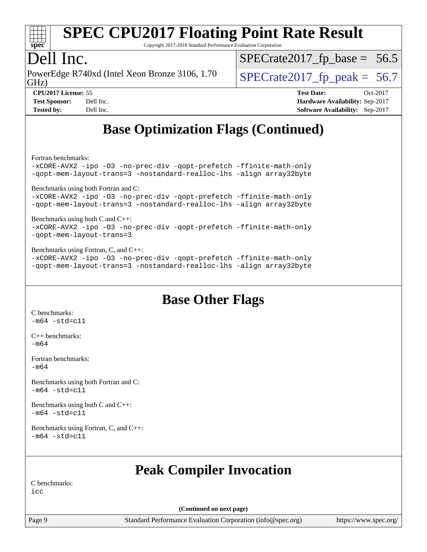

Copyright 2017-2018 Standard Performance Evaluation Corporation

### Dell Inc.

GHz) PowerEdge R740xd (Intel Xeon Bronze 3106, 1.70  $\big|$  [SPECrate2017\\_fp\\_peak =](http://www.spec.org/auto/cpu2017/Docs/result-fields.html#SPECrate2017fppeak) 56.7

 $SPECTate2017_fp\_base = 56.5$ 

**[CPU2017 License:](http://www.spec.org/auto/cpu2017/Docs/result-fields.html#CPU2017License)** 55 **[Test Date:](http://www.spec.org/auto/cpu2017/Docs/result-fields.html#TestDate)** Oct-2017 **[Test Sponsor:](http://www.spec.org/auto/cpu2017/Docs/result-fields.html#TestSponsor)** Dell Inc. **[Hardware Availability:](http://www.spec.org/auto/cpu2017/Docs/result-fields.html#HardwareAvailability)** Sep-2017 **[Tested by:](http://www.spec.org/auto/cpu2017/Docs/result-fields.html#Testedby)** Dell Inc. **[Software Availability:](http://www.spec.org/auto/cpu2017/Docs/result-fields.html#SoftwareAvailability)** Sep-2017

## **[Base Optimization Flags \(Continued\)](http://www.spec.org/auto/cpu2017/Docs/result-fields.html#BaseOptimizationFlags)**

[Fortran benchmarks](http://www.spec.org/auto/cpu2017/Docs/result-fields.html#Fortranbenchmarks):

[-xCORE-AVX2](http://www.spec.org/cpu2017/results/res2017q4/cpu2017-20171208-01403.flags.html#user_FCbase_f-xCORE-AVX2) [-ipo](http://www.spec.org/cpu2017/results/res2017q4/cpu2017-20171208-01403.flags.html#user_FCbase_f-ipo) [-O3](http://www.spec.org/cpu2017/results/res2017q4/cpu2017-20171208-01403.flags.html#user_FCbase_f-O3) [-no-prec-div](http://www.spec.org/cpu2017/results/res2017q4/cpu2017-20171208-01403.flags.html#user_FCbase_f-no-prec-div) [-qopt-prefetch](http://www.spec.org/cpu2017/results/res2017q4/cpu2017-20171208-01403.flags.html#user_FCbase_f-qopt-prefetch) [-ffinite-math-only](http://www.spec.org/cpu2017/results/res2017q4/cpu2017-20171208-01403.flags.html#user_FCbase_f_finite_math_only_cb91587bd2077682c4b38af759c288ed7c732db004271a9512da14a4f8007909a5f1427ecbf1a0fb78ff2a814402c6114ac565ca162485bbcae155b5e4258871) [-qopt-mem-layout-trans=3](http://www.spec.org/cpu2017/results/res2017q4/cpu2017-20171208-01403.flags.html#user_FCbase_f-qopt-mem-layout-trans_de80db37974c74b1f0e20d883f0b675c88c3b01e9d123adea9b28688d64333345fb62bc4a798493513fdb68f60282f9a726aa07f478b2f7113531aecce732043) [-nostandard-realloc-lhs](http://www.spec.org/cpu2017/results/res2017q4/cpu2017-20171208-01403.flags.html#user_FCbase_f_2003_std_realloc_82b4557e90729c0f113870c07e44d33d6f5a304b4f63d4c15d2d0f1fab99f5daaed73bdb9275d9ae411527f28b936061aa8b9c8f2d63842963b95c9dd6426b8a) [-align array32byte](http://www.spec.org/cpu2017/results/res2017q4/cpu2017-20171208-01403.flags.html#user_FCbase_align_array32byte_b982fe038af199962ba9a80c053b8342c548c85b40b8e86eb3cc33dee0d7986a4af373ac2d51c3f7cf710a18d62fdce2948f201cd044323541f22fc0fffc51b6) [Benchmarks using both Fortran and C](http://www.spec.org/auto/cpu2017/Docs/result-fields.html#BenchmarksusingbothFortranandC): [-xCORE-AVX2](http://www.spec.org/cpu2017/results/res2017q4/cpu2017-20171208-01403.flags.html#user_CC_FCbase_f-xCORE-AVX2) [-ipo](http://www.spec.org/cpu2017/results/res2017q4/cpu2017-20171208-01403.flags.html#user_CC_FCbase_f-ipo) [-O3](http://www.spec.org/cpu2017/results/res2017q4/cpu2017-20171208-01403.flags.html#user_CC_FCbase_f-O3) [-no-prec-div](http://www.spec.org/cpu2017/results/res2017q4/cpu2017-20171208-01403.flags.html#user_CC_FCbase_f-no-prec-div) [-qopt-prefetch](http://www.spec.org/cpu2017/results/res2017q4/cpu2017-20171208-01403.flags.html#user_CC_FCbase_f-qopt-prefetch) [-ffinite-math-only](http://www.spec.org/cpu2017/results/res2017q4/cpu2017-20171208-01403.flags.html#user_CC_FCbase_f_finite_math_only_cb91587bd2077682c4b38af759c288ed7c732db004271a9512da14a4f8007909a5f1427ecbf1a0fb78ff2a814402c6114ac565ca162485bbcae155b5e4258871) [-qopt-mem-layout-trans=3](http://www.spec.org/cpu2017/results/res2017q4/cpu2017-20171208-01403.flags.html#user_CC_FCbase_f-qopt-mem-layout-trans_de80db37974c74b1f0e20d883f0b675c88c3b01e9d123adea9b28688d64333345fb62bc4a798493513fdb68f60282f9a726aa07f478b2f7113531aecce732043) [-nostandard-realloc-lhs](http://www.spec.org/cpu2017/results/res2017q4/cpu2017-20171208-01403.flags.html#user_CC_FCbase_f_2003_std_realloc_82b4557e90729c0f113870c07e44d33d6f5a304b4f63d4c15d2d0f1fab99f5daaed73bdb9275d9ae411527f28b936061aa8b9c8f2d63842963b95c9dd6426b8a) [-align array32byte](http://www.spec.org/cpu2017/results/res2017q4/cpu2017-20171208-01403.flags.html#user_CC_FCbase_align_array32byte_b982fe038af199962ba9a80c053b8342c548c85b40b8e86eb3cc33dee0d7986a4af373ac2d51c3f7cf710a18d62fdce2948f201cd044323541f22fc0fffc51b6) [Benchmarks using both C and C++](http://www.spec.org/auto/cpu2017/Docs/result-fields.html#BenchmarksusingbothCandCXX): [-xCORE-AVX2](http://www.spec.org/cpu2017/results/res2017q4/cpu2017-20171208-01403.flags.html#user_CC_CXXbase_f-xCORE-AVX2) [-ipo](http://www.spec.org/cpu2017/results/res2017q4/cpu2017-20171208-01403.flags.html#user_CC_CXXbase_f-ipo) [-O3](http://www.spec.org/cpu2017/results/res2017q4/cpu2017-20171208-01403.flags.html#user_CC_CXXbase_f-O3) [-no-prec-div](http://www.spec.org/cpu2017/results/res2017q4/cpu2017-20171208-01403.flags.html#user_CC_CXXbase_f-no-prec-div) [-qopt-prefetch](http://www.spec.org/cpu2017/results/res2017q4/cpu2017-20171208-01403.flags.html#user_CC_CXXbase_f-qopt-prefetch) [-ffinite-math-only](http://www.spec.org/cpu2017/results/res2017q4/cpu2017-20171208-01403.flags.html#user_CC_CXXbase_f_finite_math_only_cb91587bd2077682c4b38af759c288ed7c732db004271a9512da14a4f8007909a5f1427ecbf1a0fb78ff2a814402c6114ac565ca162485bbcae155b5e4258871) [-qopt-mem-layout-trans=3](http://www.spec.org/cpu2017/results/res2017q4/cpu2017-20171208-01403.flags.html#user_CC_CXXbase_f-qopt-mem-layout-trans_de80db37974c74b1f0e20d883f0b675c88c3b01e9d123adea9b28688d64333345fb62bc4a798493513fdb68f60282f9a726aa07f478b2f7113531aecce732043) [Benchmarks using Fortran, C, and C++:](http://www.spec.org/auto/cpu2017/Docs/result-fields.html#BenchmarksusingFortranCandCXX)

[-xCORE-AVX2](http://www.spec.org/cpu2017/results/res2017q4/cpu2017-20171208-01403.flags.html#user_CC_CXX_FCbase_f-xCORE-AVX2) [-ipo](http://www.spec.org/cpu2017/results/res2017q4/cpu2017-20171208-01403.flags.html#user_CC_CXX_FCbase_f-ipo) [-O3](http://www.spec.org/cpu2017/results/res2017q4/cpu2017-20171208-01403.flags.html#user_CC_CXX_FCbase_f-O3) [-no-prec-div](http://www.spec.org/cpu2017/results/res2017q4/cpu2017-20171208-01403.flags.html#user_CC_CXX_FCbase_f-no-prec-div) [-qopt-prefetch](http://www.spec.org/cpu2017/results/res2017q4/cpu2017-20171208-01403.flags.html#user_CC_CXX_FCbase_f-qopt-prefetch) [-ffinite-math-only](http://www.spec.org/cpu2017/results/res2017q4/cpu2017-20171208-01403.flags.html#user_CC_CXX_FCbase_f_finite_math_only_cb91587bd2077682c4b38af759c288ed7c732db004271a9512da14a4f8007909a5f1427ecbf1a0fb78ff2a814402c6114ac565ca162485bbcae155b5e4258871) [-qopt-mem-layout-trans=3](http://www.spec.org/cpu2017/results/res2017q4/cpu2017-20171208-01403.flags.html#user_CC_CXX_FCbase_f-qopt-mem-layout-trans_de80db37974c74b1f0e20d883f0b675c88c3b01e9d123adea9b28688d64333345fb62bc4a798493513fdb68f60282f9a726aa07f478b2f7113531aecce732043) [-nostandard-realloc-lhs](http://www.spec.org/cpu2017/results/res2017q4/cpu2017-20171208-01403.flags.html#user_CC_CXX_FCbase_f_2003_std_realloc_82b4557e90729c0f113870c07e44d33d6f5a304b4f63d4c15d2d0f1fab99f5daaed73bdb9275d9ae411527f28b936061aa8b9c8f2d63842963b95c9dd6426b8a) [-align array32byte](http://www.spec.org/cpu2017/results/res2017q4/cpu2017-20171208-01403.flags.html#user_CC_CXX_FCbase_align_array32byte_b982fe038af199962ba9a80c053b8342c548c85b40b8e86eb3cc33dee0d7986a4af373ac2d51c3f7cf710a18d62fdce2948f201cd044323541f22fc0fffc51b6)

### **[Base Other Flags](http://www.spec.org/auto/cpu2017/Docs/result-fields.html#BaseOtherFlags)**

[C benchmarks](http://www.spec.org/auto/cpu2017/Docs/result-fields.html#Cbenchmarks):  $-m64 - std = c11$  $-m64 - std = c11$ 

[C++ benchmarks:](http://www.spec.org/auto/cpu2017/Docs/result-fields.html#CXXbenchmarks) [-m64](http://www.spec.org/cpu2017/results/res2017q4/cpu2017-20171208-01403.flags.html#user_CXXbase_intel_intel64_18.0_af43caccfc8ded86e7699f2159af6efc7655f51387b94da716254467f3c01020a5059329e2569e4053f409e7c9202a7efc638f7a6d1ffb3f52dea4a3e31d82ab)

[Fortran benchmarks](http://www.spec.org/auto/cpu2017/Docs/result-fields.html#Fortranbenchmarks):  $-m64$ 

[Benchmarks using both Fortran and C](http://www.spec.org/auto/cpu2017/Docs/result-fields.html#BenchmarksusingbothFortranandC):  $-m64 - std = c11$  $-m64 - std = c11$ 

[Benchmarks using both C and C++](http://www.spec.org/auto/cpu2017/Docs/result-fields.html#BenchmarksusingbothCandCXX):  $-m64$   $-std=cl1$ 

[Benchmarks using Fortran, C, and C++:](http://www.spec.org/auto/cpu2017/Docs/result-fields.html#BenchmarksusingFortranCandCXX)  $-m64$   $-std=cl1$ 

### **[Peak Compiler Invocation](http://www.spec.org/auto/cpu2017/Docs/result-fields.html#PeakCompilerInvocation)**

[C benchmarks:](http://www.spec.org/auto/cpu2017/Docs/result-fields.html#Cbenchmarks)

[icc](http://www.spec.org/cpu2017/results/res2017q4/cpu2017-20171208-01403.flags.html#user_CCpeak_intel_icc_18.0_66fc1ee009f7361af1fbd72ca7dcefbb700085f36577c54f309893dd4ec40d12360134090235512931783d35fd58c0460139e722d5067c5574d8eaf2b3e37e92)

**(Continued on next page)**

Page 9 Standard Performance Evaluation Corporation [\(info@spec.org\)](mailto:info@spec.org) <https://www.spec.org/>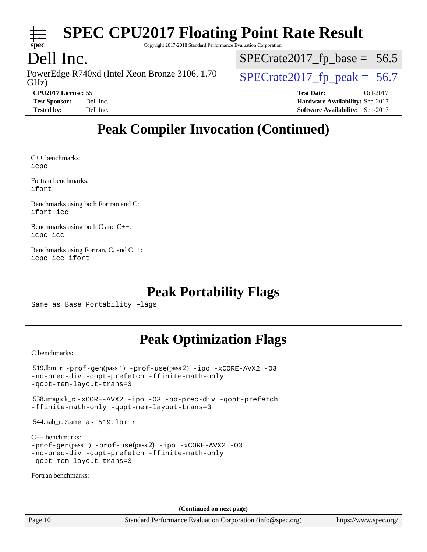

Copyright 2017-2018 Standard Performance Evaluation Corporation

## Dell Inc.

GHz) PowerEdge R740xd (Intel Xeon Bronze 3106, 1.70  $\big|$  [SPECrate2017\\_fp\\_peak =](http://www.spec.org/auto/cpu2017/Docs/result-fields.html#SPECrate2017fppeak) 56.7

 $SPECTate2017_fp\_base = 56.5$ 

**[CPU2017 License:](http://www.spec.org/auto/cpu2017/Docs/result-fields.html#CPU2017License)** 55 **[Test Date:](http://www.spec.org/auto/cpu2017/Docs/result-fields.html#TestDate)** Oct-2017 **[Test Sponsor:](http://www.spec.org/auto/cpu2017/Docs/result-fields.html#TestSponsor)** Dell Inc. **[Hardware Availability:](http://www.spec.org/auto/cpu2017/Docs/result-fields.html#HardwareAvailability)** Sep-2017 **[Tested by:](http://www.spec.org/auto/cpu2017/Docs/result-fields.html#Testedby)** Dell Inc. **[Software Availability:](http://www.spec.org/auto/cpu2017/Docs/result-fields.html#SoftwareAvailability)** Sep-2017

## **[Peak Compiler Invocation \(Continued\)](http://www.spec.org/auto/cpu2017/Docs/result-fields.html#PeakCompilerInvocation)**

[C++ benchmarks](http://www.spec.org/auto/cpu2017/Docs/result-fields.html#CXXbenchmarks): [icpc](http://www.spec.org/cpu2017/results/res2017q4/cpu2017-20171208-01403.flags.html#user_CXXpeak_intel_icpc_18.0_c510b6838c7f56d33e37e94d029a35b4a7bccf4766a728ee175e80a419847e808290a9b78be685c44ab727ea267ec2f070ec5dc83b407c0218cded6866a35d07)

[Fortran benchmarks:](http://www.spec.org/auto/cpu2017/Docs/result-fields.html#Fortranbenchmarks) [ifort](http://www.spec.org/cpu2017/results/res2017q4/cpu2017-20171208-01403.flags.html#user_FCpeak_intel_ifort_18.0_8111460550e3ca792625aed983ce982f94888b8b503583aa7ba2b8303487b4d8a21a13e7191a45c5fd58ff318f48f9492884d4413fa793fd88dd292cad7027ca)

[Benchmarks using both Fortran and C:](http://www.spec.org/auto/cpu2017/Docs/result-fields.html#BenchmarksusingbothFortranandC) [ifort](http://www.spec.org/cpu2017/results/res2017q4/cpu2017-20171208-01403.flags.html#user_CC_FCpeak_intel_ifort_18.0_8111460550e3ca792625aed983ce982f94888b8b503583aa7ba2b8303487b4d8a21a13e7191a45c5fd58ff318f48f9492884d4413fa793fd88dd292cad7027ca) [icc](http://www.spec.org/cpu2017/results/res2017q4/cpu2017-20171208-01403.flags.html#user_CC_FCpeak_intel_icc_18.0_66fc1ee009f7361af1fbd72ca7dcefbb700085f36577c54f309893dd4ec40d12360134090235512931783d35fd58c0460139e722d5067c5574d8eaf2b3e37e92)

[Benchmarks using both C and C++](http://www.spec.org/auto/cpu2017/Docs/result-fields.html#BenchmarksusingbothCandCXX): [icpc](http://www.spec.org/cpu2017/results/res2017q4/cpu2017-20171208-01403.flags.html#user_CC_CXXpeak_intel_icpc_18.0_c510b6838c7f56d33e37e94d029a35b4a7bccf4766a728ee175e80a419847e808290a9b78be685c44ab727ea267ec2f070ec5dc83b407c0218cded6866a35d07) [icc](http://www.spec.org/cpu2017/results/res2017q4/cpu2017-20171208-01403.flags.html#user_CC_CXXpeak_intel_icc_18.0_66fc1ee009f7361af1fbd72ca7dcefbb700085f36577c54f309893dd4ec40d12360134090235512931783d35fd58c0460139e722d5067c5574d8eaf2b3e37e92)

[Benchmarks using Fortran, C, and C++](http://www.spec.org/auto/cpu2017/Docs/result-fields.html#BenchmarksusingFortranCandCXX): [icpc](http://www.spec.org/cpu2017/results/res2017q4/cpu2017-20171208-01403.flags.html#user_CC_CXX_FCpeak_intel_icpc_18.0_c510b6838c7f56d33e37e94d029a35b4a7bccf4766a728ee175e80a419847e808290a9b78be685c44ab727ea267ec2f070ec5dc83b407c0218cded6866a35d07) [icc](http://www.spec.org/cpu2017/results/res2017q4/cpu2017-20171208-01403.flags.html#user_CC_CXX_FCpeak_intel_icc_18.0_66fc1ee009f7361af1fbd72ca7dcefbb700085f36577c54f309893dd4ec40d12360134090235512931783d35fd58c0460139e722d5067c5574d8eaf2b3e37e92) [ifort](http://www.spec.org/cpu2017/results/res2017q4/cpu2017-20171208-01403.flags.html#user_CC_CXX_FCpeak_intel_ifort_18.0_8111460550e3ca792625aed983ce982f94888b8b503583aa7ba2b8303487b4d8a21a13e7191a45c5fd58ff318f48f9492884d4413fa793fd88dd292cad7027ca)

## **[Peak Portability Flags](http://www.spec.org/auto/cpu2017/Docs/result-fields.html#PeakPortabilityFlags)**

Same as Base Portability Flags

## **[Peak Optimization Flags](http://www.spec.org/auto/cpu2017/Docs/result-fields.html#PeakOptimizationFlags)**

[C benchmarks](http://www.spec.org/auto/cpu2017/Docs/result-fields.html#Cbenchmarks):

```
 519.lbm_r: -prof-gen(pass 1) -prof-use(pass 2) -ipo -xCORE-AVX2 -O3
-no-prec-div -qopt-prefetch -ffinite-math-only
-qopt-mem-layout-trans=3
```
 538.imagick\_r: [-xCORE-AVX2](http://www.spec.org/cpu2017/results/res2017q4/cpu2017-20171208-01403.flags.html#user_peakCOPTIMIZE538_imagick_r_f-xCORE-AVX2) [-ipo](http://www.spec.org/cpu2017/results/res2017q4/cpu2017-20171208-01403.flags.html#user_peakCOPTIMIZE538_imagick_r_f-ipo) [-O3](http://www.spec.org/cpu2017/results/res2017q4/cpu2017-20171208-01403.flags.html#user_peakCOPTIMIZE538_imagick_r_f-O3) [-no-prec-div](http://www.spec.org/cpu2017/results/res2017q4/cpu2017-20171208-01403.flags.html#user_peakCOPTIMIZE538_imagick_r_f-no-prec-div) [-qopt-prefetch](http://www.spec.org/cpu2017/results/res2017q4/cpu2017-20171208-01403.flags.html#user_peakCOPTIMIZE538_imagick_r_f-qopt-prefetch) [-ffinite-math-only](http://www.spec.org/cpu2017/results/res2017q4/cpu2017-20171208-01403.flags.html#user_peakCOPTIMIZE538_imagick_r_f_finite_math_only_cb91587bd2077682c4b38af759c288ed7c732db004271a9512da14a4f8007909a5f1427ecbf1a0fb78ff2a814402c6114ac565ca162485bbcae155b5e4258871) [-qopt-mem-layout-trans=3](http://www.spec.org/cpu2017/results/res2017q4/cpu2017-20171208-01403.flags.html#user_peakCOPTIMIZE538_imagick_r_f-qopt-mem-layout-trans_de80db37974c74b1f0e20d883f0b675c88c3b01e9d123adea9b28688d64333345fb62bc4a798493513fdb68f60282f9a726aa07f478b2f7113531aecce732043)

544.nab\_r: Same as 519.lbm\_r

```
C++ benchmarks: 
-prof-gen(pass 1) -prof-use(pass 2) -ipo -xCORE-AVX2 -O3
-no-prec-div -qopt-prefetch -ffinite-math-only
-qopt-mem-layout-trans=3
```
[Fortran benchmarks](http://www.spec.org/auto/cpu2017/Docs/result-fields.html#Fortranbenchmarks):

**(Continued on next page)**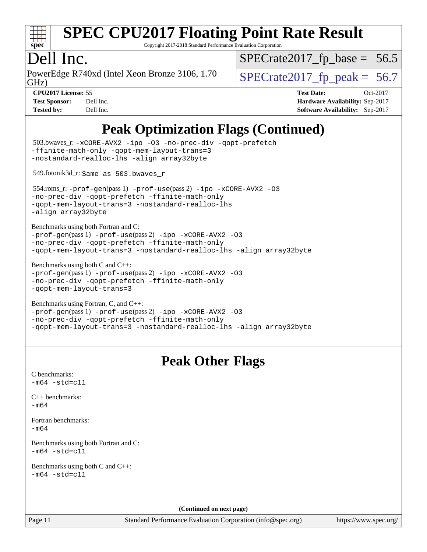

Copyright 2017-2018 Standard Performance Evaluation Corporation

### Dell Inc.

GHz) PowerEdge R740xd (Intel Xeon Bronze 3106, 1.70  $\big|$  SPECrate 2017 fp peak = 56.7

 $SPECTate2017_fp\_base = 56.5$ 

**[CPU2017 License:](http://www.spec.org/auto/cpu2017/Docs/result-fields.html#CPU2017License)** 55 **[Test Date:](http://www.spec.org/auto/cpu2017/Docs/result-fields.html#TestDate)** Oct-2017 **[Test Sponsor:](http://www.spec.org/auto/cpu2017/Docs/result-fields.html#TestSponsor)** Dell Inc. **[Hardware Availability:](http://www.spec.org/auto/cpu2017/Docs/result-fields.html#HardwareAvailability)** Sep-2017 **[Tested by:](http://www.spec.org/auto/cpu2017/Docs/result-fields.html#Testedby)** Dell Inc. **[Software Availability:](http://www.spec.org/auto/cpu2017/Docs/result-fields.html#SoftwareAvailability)** Sep-2017

## **[Peak Optimization Flags \(Continued\)](http://www.spec.org/auto/cpu2017/Docs/result-fields.html#PeakOptimizationFlags)**

```
(info@spec.org)https://www.spec.org/
  503.bwaves_r: -xCORE-AVX2 -ipo -O3 -no-prec-div -qopt-prefetch
-ffinite-math-only -qopt-mem-layout-trans=3
-nostandard-realloc-lhs -align array32byte
  549.fotonik3d_r: Same as 503.bwaves_r
  554.roms_r: -prof-gen(pass 1) -prof-use(pass 2) -ipo -xCORE-AVX2 -O3
-no-prec-div -qopt-prefetch -ffinite-math-only
-qopt-mem-layout-trans=3 -nostandard-realloc-lhs
-align array32byte
Benchmarks using both Fortran and C: 
-prof-gen(pass 1) -prof-use(pass 2) -ipo -xCORE-AVX2 -O3
-no-prec-div -qopt-prefetch -ffinite-math-only
-qopt-mem-layout-trans=3 -nostandard-realloc-lhs -align array32byte
Benchmarks using both C and C++: 
-prof-gen(pass 1) -prof-use(pass 2) -ipo -xCORE-AVX2 -O3
-no-prec-div -qopt-prefetch -ffinite-math-only
-qopt-mem-layout-trans=3
Benchmarks using Fortran, C, and C++: 
-prof-gen(pass 1) -prof-use(pass 2) -ipo -xCORE-AVX2 -O3
-no-prec-div -qopt-prefetch -ffinite-math-only
-qopt-mem-layout-trans=3 -nostandard-realloc-lhs -align array32byte
                                 Peak Other Flags
C benchmarks: 
-m64 - std= c11C++ benchmarks: 
-m64Fortran benchmarks: 
-m64
Benchmarks using both Fortran and C: 
-m64 - std= c11Benchmarks using both C and C++: 
-m64 - std= c11(Continued on next page)
```